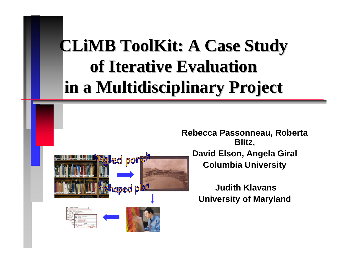## **CLIMB ToolKit: A Case Study of Iterative Evaluation of Iterative Evaluation in a Multidisciplinary Project in a Multidisciplinary Project**

**Rebecca Passonneau, Roberta Blitz, David Elson, Angela Giral Columbia University**

> **Judith KlavansUniversity of Maryland**

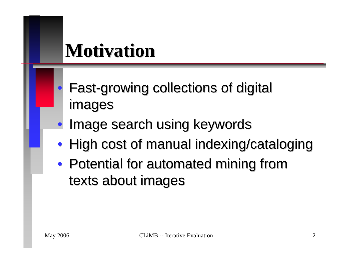## **Motivation Motivation**

- **Fast-growing collections of digital** images
- $\bullet$ Image search using keywords
- High cost of manual indexing/cataloging
- Potential for automated mining from texts about images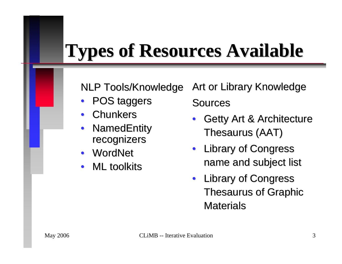# **Types of Resources Available Types of Resources Available**

NLP Tools/Knowledge

- POS taggers
- • $\bullet$  Chunkers
- •NamedEntity recognizers
- •**WordNet**
- • $\bullet$  ML toolkits

Art or Library Knowledge Sources

•Getty Art & Architecture Thesaurus (AAT)

- • Library of Congress Library of Congress name and subject list
- Library of Congress Thesaurus of Graphic Materials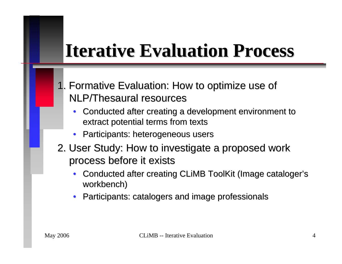## **Iterative Evaluation Process Iterative Evaluation Process**

- 1. Formative Evaluation: How to optimize use of 1. Formative Evaluation: How to optimize use of NLP/Thesaural resources
	- •Conducted after creating a development environment to extract potential terms from texts
	- •Participants: heterogeneous users
- 2. User Study: How to investigate a proposed work 2. User Study: How to investigate a proposed work process before it exists process before it exists
	- •Conducted after creating CLiMB ToolKit (Image cataloger's workbench)
	- $\bullet$ Participants: catalogers and image professionals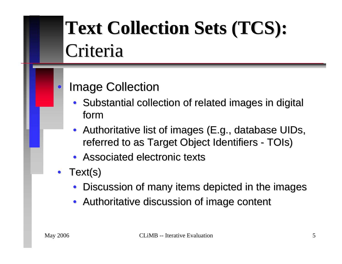# Text Collection Sets (TCS): Criteria

### **Image Collection**

- Substantial collection of related images in digital form
- •Authoritative list of images (E.g., database UIDs, referred to as Target Object Identifiers - TOIs )
- Associated electronic texts
- Text(s)
	- •Discussion of many items depicted in the images
	- Authoritative discussion of image content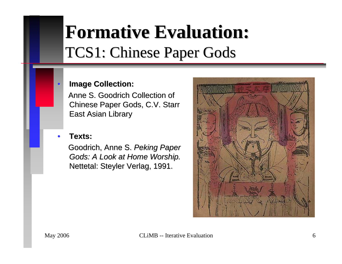## **Formative Evaluation: Formative Evaluation:** TCS1: Chinese Paper Gods

#### **Image Collection:**

Anne S. Goodrich Collection of Chinese Paper Gods, C.V. Starr **East Asian Library** 

#### •**Texts:**

 $\bullet$ 

Goodrich, Anne S. Peking Paper *Gods: A Look at Home Worship. Gods: A Look at Home Worship.* Nettetal: Steyler Verlag, 1991.

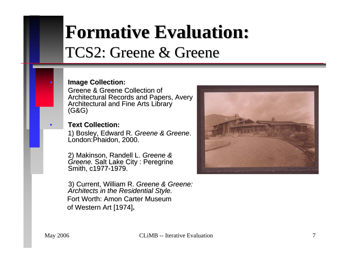## **Formative Evaluation: Formative Evaluation:** TCS2: Greene & Greene

#### **Image Collection:**

Greene & Greene Collection of Architectural Records and Papers, Avery Architectural and Fine Arts Library<br>(G&G)

#### **Text Collection:**

1) Bosley, Edward R*. Greene & Greene*.<br>London:Phaidon. 2000. London:Phaidon, 2000.

2) Makinson, Randell L. *Greene & Greene.* Salt Lake City : Peregrine<br>*Greene.* Salt Lake City : Peregrine Smith, c1977-1979.

3) Current, William R. Greene & Greene: *Architects in the Residential Style. Architects in the Residential Style.* Fort Worth: Amon Carter Museum of Western Art [1974].



 $\bullet$ 

•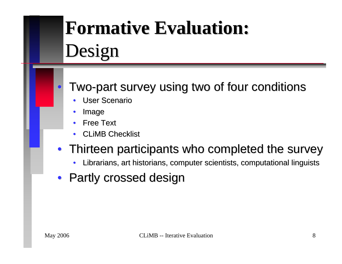# **Formative Evaluation: Formative Evaluation:** Design

### • Two-part survey using two of four conditions

- •• User Scenario
- •Image
- •Free Text
- •• CLiMB Checklist

### • Thirteen participants who completed the survey

- •Librarians, art historians, computer scientists, computational linguists
- Partly crossed design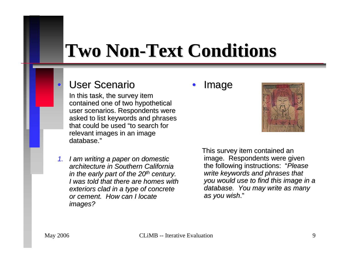## **Two Non Two Non -Text Conditions Text Conditions**

### • User Scenario

In this task, the survey item contained one of two hypothetical user scenarios. Respondents were asked to list keywords and phrases that could be used "to search for relevant images in an image database."

*1. I am writing a paper on domestic I am writing a paper on domestic architecture in Southern California architecture in Southern California in the early part of the 20<sup>th</sup> century. I was told that there are homes with I was told that there are homes with* exteriors clad in a type of concrete *or cement. How can I locate cement. How can I locate images? images?*

#### •Image



This survey item contained an image. Respondents were given the following instructions: the following instructions: "*Please write keywords and phrases that you would use to find this image in a you would use find this image in a database. You may database. You may write as many write as many as you wish as wish*."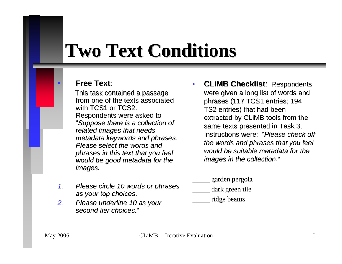## **Two Text Conditions Two Text Conditions**

#### **Free Text Free Text**:

This task contained a passage from one of the texts associated with TCS1 or TCS2. Respondents were asked to "*Suppose there is a collection of Suppose there is a collection of related images that needs metadata keywords and phrases. Please select the words and Please select the words and phrases in this text that you feel would be good metadata for would be good metadata for the images. images.*

- *1. Please circle 10 words or Please circle 10 words or phrases phrases as your top choices as your top choices*.
- *2.Please underline 10 as your second tier choices second tier choices*."
- •**CLiMB Checklist: Respondents** were given a long list of words and phrases (117 TCS1 entries; 194 TS2 entries) that had been extracted by CLiMB tools from the same texts presented in Task 3. Instructions were: *"Please check off the words and phrases that you feel the words and phrases that you feel would be suitable metadata for would be suitable metadata for the images in the collection images in the collection*."
	- \_\_\_\_\_ garden pergola \_\_\_\_\_ garden pergola
	- dark green tile
- \_\_\_\_\_ ridge beams \_\_\_\_\_ ridge beams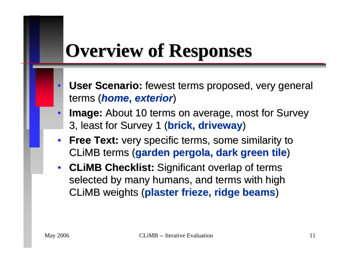## **Overview of Responses Overview of Responses**

- $\bullet$ **User Scenario:** fewest terms proposed, very general terms ( terms (*home***,** *exterior exterior*)
- $\bullet$ **Image:** About 10 terms on average, most for Survey 3, least for Survey 1 (**brick, driveway**)
- **Free Text:** very specific terms, some similarity to CLiMB terms (**garden pergola, dark green tile**)
- **CLiMB Checklist:** Significant overlap of terms selected by many humans, and terms with high CLiMB weights (**plaster frieze, ridge beams**)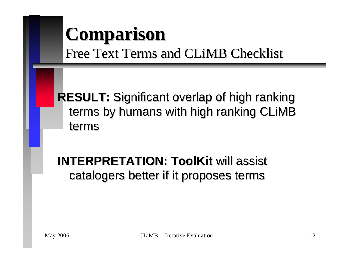### **Comparison Comparison**  Free Text Terms and CLiMB Checklist

**RESULT:** Significant overlap of high ranking terms by humans with high ranking CLIMB terms

### **INTERPRETATION: ToolKit will assist** catalogers better if it proposes terms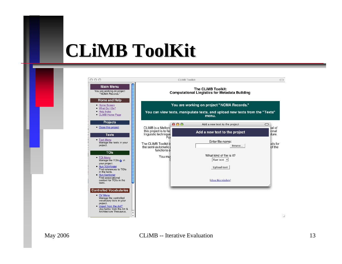## **CLiMB ToolKit ToolKit**



#### May 2006 CLiMB -- Iterative Evaluation 13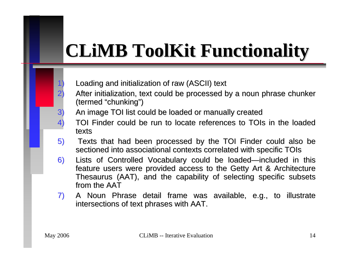# **CLIMB ToolKit Functionality**

- 1) Loading and initialization of raw (ASCII) text Loading and initialization of raw (ASCII) text
- 2) After initialization, text could be processed by a noun phrase chunker (termed "chunking")
- 3) An image TOI list could be loaded or manually created
- 4) TOI Finder could be run to locate references to TOIs in the loaded texts
- 5) Texts that had been processed by the TOI Finder could also be sectioned into associational contexts correlated with specific TOIs
- 6) Lists of Controlled Vocabulary could be loaded—included in this feature users were provided access to the Getty Art & Architecture Thesaurus (AAT), and the capability of selecting specific subsets from the AAT  $\;$
- 7) A Noun Phrase detail frame was available, e.g., to illustrate intersections of text phrases with AAT.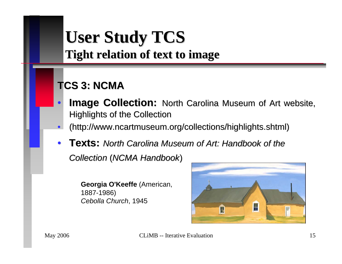### **User Study TCS User Study TCS Tight relation of text to image**

### **TCS 3: NCMA TCS 3: NCMA**

- $\bullet$ **Image Collection:** North Carolina Museum of Art website, Highlights of the Collection
- $\bullet$ • (http://www.ncartmuseum.org/collections/highlights.shtml)
- •**Texts:** North Carolina Museum of Art: Handbook of the *Collection Collection* (*NCMA Handbook NCMA Handbook*)

**Georgia O'Keeff e** (American, 1887-1986) *CebollaChurch*, 1945

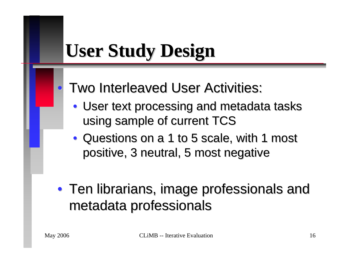# **User Study Design User Study Design**

- **Two Interleaved User Activities:** 
	- User text processing and metadata tasks using sample of current TCS
	- Questions on a 1 to 5 scale, with 1 most positive, 3 neutral, 5 most negative
- Ten librarians, image professionals and metadata professionals metadata professionals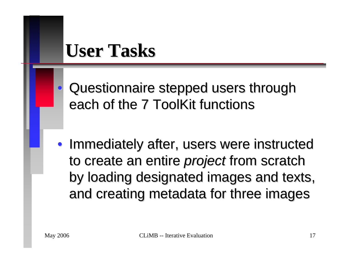### **User Tasks User Tasks**

 Questionnaire stepped users through Questionnaire stepped users through each of the 7 ToolKit functions

• Immediately after, users were instructed to create an entire *project* from scratch by loading designated images and texts, and creating metadata for three images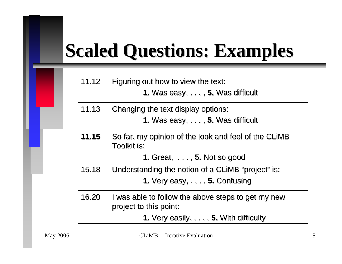# **Scaled Questions: Examples Scaled Questions: Examples**

| 11.12 | Figuring out how to view the text:<br><b>1.</b> Was easy, $\dots$ , <b>5.</b> Was difficult                                                |
|-------|--------------------------------------------------------------------------------------------------------------------------------------------|
| 11.13 | Changing the text display options:<br><b>1.</b> Was easy, $\dots$ , <b>5.</b> Was difficult                                                |
| 11.15 | So far, my opinion of the look and feel of the CLIMB<br>Toolkit is:<br>1. Great, $\dots$ , 5. Not so good                                  |
| 15.18 | Understanding the notion of a CLIMB "project" is:<br>1. Very easy, $\dots$ , 5. Confusing                                                  |
| 16.20 | I was able to follow the above steps to get my new<br>project to this point:<br><b>1.</b> Very easily, $\dots$ , <b>5.</b> With difficulty |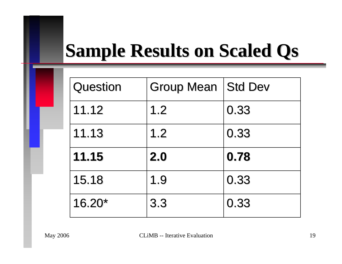# **Sample Results on Scaled Qs**

| Question | Group Mean   Std Dev |      |
|----------|----------------------|------|
| 11.12    | 1.2                  | 0.33 |
| 11.13    | 1.2                  | 0.33 |
| 11.15    | 2.0                  | 0.78 |
| 15.18    | 1.9                  | 0.33 |
| $16.20*$ | 3.3                  | 0.33 |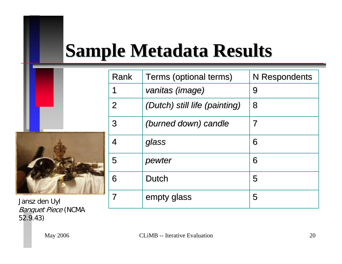# **Sample Metadata Results Sample Metadata Results**

|               | Rank           | Terms (optional terms)        | N Respondents            |
|---------------|----------------|-------------------------------|--------------------------|
|               |                | vanitas (image)               | 9                        |
|               | $\overline{2}$ | (Dutch) still life (painting) | 8                        |
|               | 3              | (burned down) candle          | $\overline{\mathcal{I}}$ |
|               | 4              | glass                         | 6                        |
|               | 5              | pewter                        | 6                        |
|               | 6              | <b>Dutch</b>                  | 5                        |
| Jansz den Uyl |                | empty glass                   | 5                        |
|               |                |                               |                          |

Banquet Piece (NCMA 52.9.43)